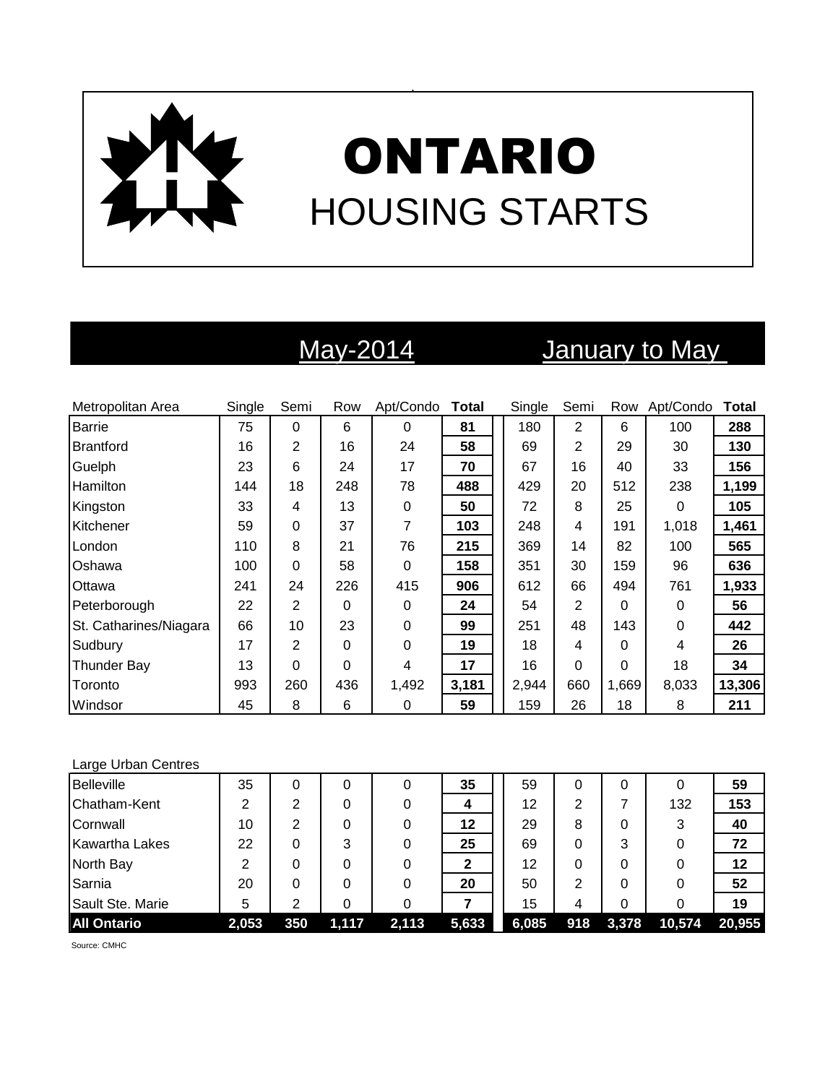

# May-2014 January to May

| Metropolitan Area      | Single | Semi           | Row      | Apt/Condo   | <b>Total</b> | Single | Semi           | Row      | Apt/Condo | Total  |
|------------------------|--------|----------------|----------|-------------|--------------|--------|----------------|----------|-----------|--------|
| <b>Barrie</b>          | 75     | 0              | 6        | $\Omega$    | 81           | 180    | $\overline{2}$ | 6        | 100       | 288    |
| <b>Brantford</b>       | 16     | 2              | 16       | 24          | 58           | 69     | 2              | 29       | 30        | 130    |
| Guelph                 | 23     | 6              | 24       | 17          | 70           | 67     | 16             | 40       | 33        | 156    |
| Hamilton               | 144    | 18             | 248      | 78          | 488          | 429    | 20             | 512      | 238       | 1,199  |
| Kingston               | 33     | 4              | 13       | $\mathbf 0$ | 50           | 72     | 8              | 25       | $\Omega$  | 105    |
| Kitchener              | 59     | 0              | 37       | 7           | 103          | 248    | 4              | 191      | 1,018     | 1,461  |
| London                 | 110    | 8              | 21       | 76          | 215          | 369    | 14             | 82       | 100       | 565    |
| Oshawa                 | 100    | 0              | 58       | 0           | 158          | 351    | 30             | 159      | 96        | 636    |
| Ottawa                 | 241    | 24             | 226      | 415         | 906          | 612    | 66             | 494      | 761       | 1,933  |
| Peterborough           | 22     | $\overline{2}$ | 0        | 0           | 24           | 54     | $\overline{2}$ | $\Omega$ | 0         | 56     |
| St. Catharines/Niagara | 66     | 10             | 23       | 0           | 99           | 251    | 48             | 143      | 0         | 442    |
| Sudbury                | 17     | 2              | $\Omega$ | 0           | 19           | 18     | 4              | 0        | 4         | 26     |
| <b>Thunder Bay</b>     | 13     | 0              | 0        | 4           | 17           | 16     | $\Omega$       | 0        | 18        | 34     |
| Toronto                | 993    | 260            | 436      | 1,492       | 3,181        | 2,944  | 660            | 1,669    | 8,033     | 13,306 |
| Windsor                | 45     | 8              | 6        | 0           | 59           | 159    | 26             | 18       | 8         | 211    |

### Large Urban Centres

| <b>Belleville</b>     | 35    |     | 0     | 0     | 35    | 59    | 0   | 0     | 0      | 59     |
|-----------------------|-------|-----|-------|-------|-------|-------|-----|-------|--------|--------|
| Chatham-Kent          | 2     | 2   | 0     |       | 4     | 12    | 2   |       | 132    | 153    |
| Cornwall              | 10    | 2   | 0     |       | 12    | 29    | 8   | 0     | 3      | 40     |
| <b>Kawartha Lakes</b> | 22    | 0   | 3     |       | 25    | 69    | 0   | 3     | 0      | 72     |
| North Bay             |       | 0   | 0     |       | 2     | 12    | 0   | 0     | 0      | 12     |
| Sarnia                | 20    | 0   | 0     |       | 20    | 50    | 2   | 0     | 0      | 52     |
| Sault Ste. Marie      | 5     | ⌒   |       |       |       | 15    | 4   | 0     | 0      | 19     |
| <b>All Ontario</b>    | 2,053 | 350 | 1,117 | 2,113 | 5,633 | 6,085 | 918 | 3,378 | 10,574 | 20,955 |

Source: CMHC